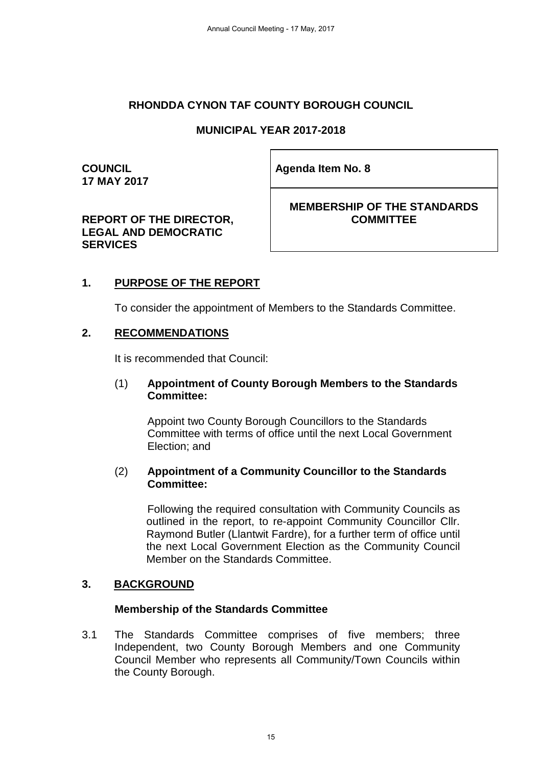### **RHONDDA CYNON TAF COUNTY BOROUGH COUNCIL**

### **MUNICIPAL YEAR 2017-2018**

**COUNCIL 17 MAY 2017** **Agenda Item No. 8** 

### **REPORT OF THE DIRECTOR, LEGAL AND DEMOCRATIC SERVICES**

**MEMBERSHIP OF THE STANDARDS COMMITTEE**

### **1. PURPOSE OF THE REPORT**

To consider the appointment of Members to the Standards Committee.

### **2. RECOMMENDATIONS**

It is recommended that Council:

#### (1) **Appointment of County Borough Members to the Standards Committee:**

Appoint two County Borough Councillors to the Standards Committee with terms of office until the next Local Government Election; and

#### (2) **Appointment of a Community Councillor to the Standards Committee:**

Following the required consultation with Community Councils as outlined in the report, to re-appoint Community Councillor Cllr. Raymond Butler (Llantwit Fardre), for a further term of office until the next Local Government Election as the Community Council Member on the Standards Committee.

### **3. BACKGROUND**

### **Membership of the Standards Committee**

3.1 The Standards Committee comprises of five members; three Independent, two County Borough Members and one Community Council Member who represents all Community/Town Councils within the County Borough.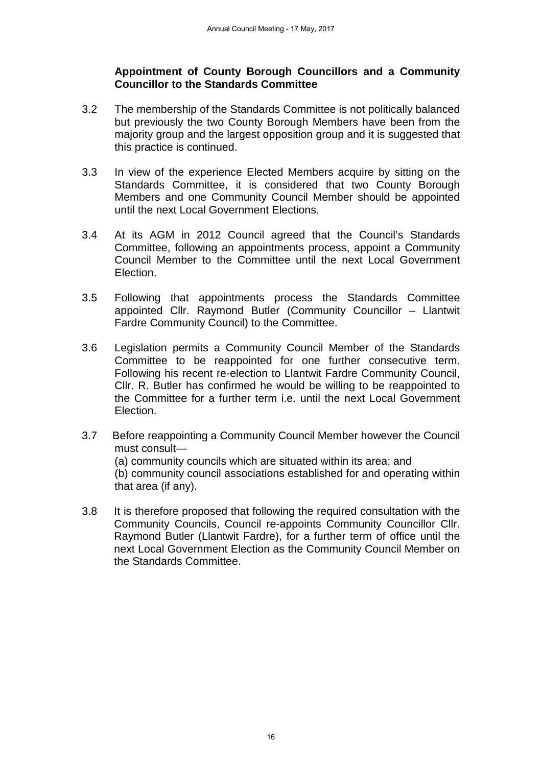### **Appointment of County Borough Councillors and a Community Councillor to the Standards Committee**

- 3.2 The membership of the Standards Committee is not politically balanced but previously the two County Borough Members have been from the majority group and the largest opposition group and it is suggested that this practice is continued.
- 3.3 In view of the experience Elected Members acquire by sitting on the Standards Committee, it is considered that two County Borough Members and one Community Council Member should be appointed until the next Local Government Elections.
- 3.4 At its AGM in 2012 Council agreed that the Council's Standards Committee, following an appointments process, appoint a Community Council Member to the Committee until the next Local Government Election.
- 3.5 Following that appointments process the Standards Committee appointed Cllr. Raymond Butler (Community Councillor – Llantwit Fardre Community Council) to the Committee.
- 3.6 Legislation permits a Community Council Member of the Standards Committee to be reappointed for one further consecutive term. Following his recent re-election to Llantwit Fardre Community Council, Cllr. R. Butler has confirmed he would be willing to be reappointed to the Committee for a further term i.e. until the next Local Government Election.
- 3.7 Before reappointing a Community Council Member however the Council must consult— (a) community councils which are situated within its area; and (b) community council associations established for and operating within that area (if any).
- 3.8 It is therefore proposed that following the required consultation with the Community Councils, Council re-appoints Community Councillor Cllr. Raymond Butler (Llantwit Fardre), for a further term of office until the next Local Government Election as the Community Council Member on the Standards Committee.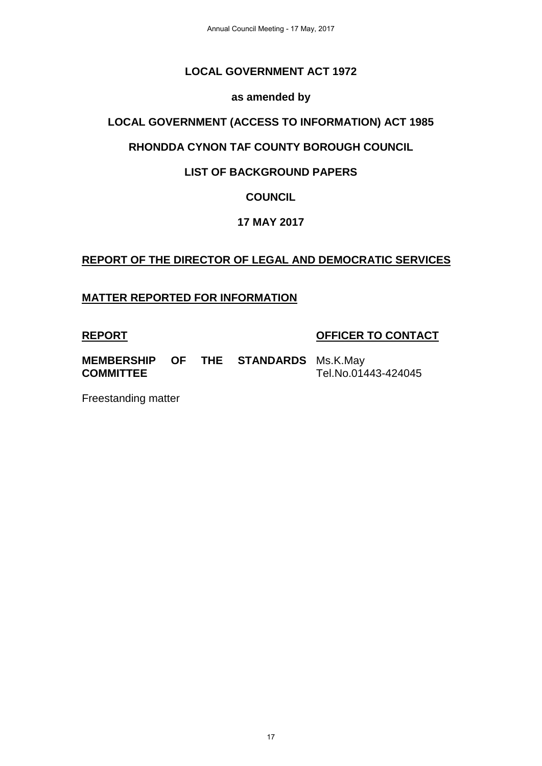# **LOCAL GOVERNMENT ACT 1972**

### **as amended by**

## **LOCAL GOVERNMENT (ACCESS TO INFORMATION) ACT 1985**

# **RHONDDA CYNON TAF COUNTY BOROUGH COUNCIL**

# **LIST OF BACKGROUND PAPERS**

# **COUNCIL**

# **17 MAY 2017**

# **REPORT OF THE DIRECTOR OF LEGAL AND DEMOCRATIC SERVICES**

### **MATTER REPORTED FOR INFORMATION**

### **REPORT OFFICER TO CONTACT**

**MEMBERSHIP OF THE STANDARDS**  Ms.K.May **COMMITTEE** Tel.No.01443-424045

Freestanding matter